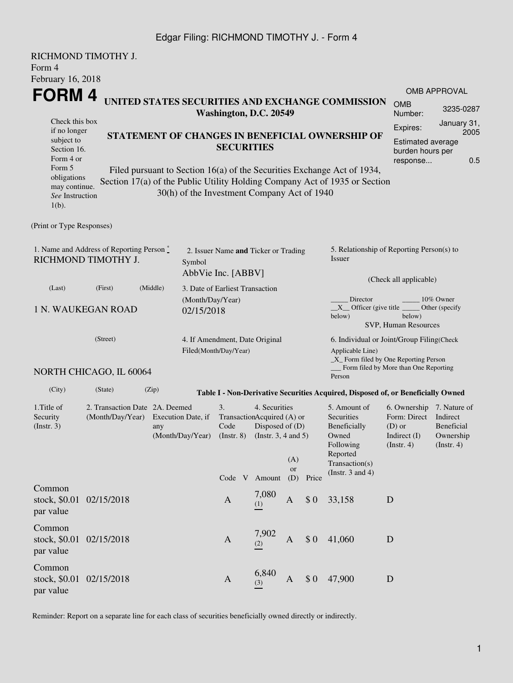## Edgar Filing: RICHMOND TIMOTHY J. - Form 4

| RICHMOND TIMOTHY J.<br>Form 4                                                                       |            |                                                                                                                                                                                                      |            |                                                                                                                                |                                                            |                        |                                                                                                |                                                                                             |                                                                                                                                          |                                                          |                     |  |  |  |  |
|-----------------------------------------------------------------------------------------------------|------------|------------------------------------------------------------------------------------------------------------------------------------------------------------------------------------------------------|------------|--------------------------------------------------------------------------------------------------------------------------------|------------------------------------------------------------|------------------------|------------------------------------------------------------------------------------------------|---------------------------------------------------------------------------------------------|------------------------------------------------------------------------------------------------------------------------------------------|----------------------------------------------------------|---------------------|--|--|--|--|
| February 16, 2018                                                                                   |            |                                                                                                                                                                                                      |            |                                                                                                                                |                                                            |                        |                                                                                                |                                                                                             |                                                                                                                                          |                                                          | <b>OMB APPROVAL</b> |  |  |  |  |
| FORM 4                                                                                              |            |                                                                                                                                                                                                      |            | UNITED STATES SECURITIES AND EXCHANGE COMMISSION                                                                               | Washington, D.C. 20549                                     |                        |                                                                                                | <b>OMB</b><br>Number:                                                                       | 3235-0287                                                                                                                                |                                                          |                     |  |  |  |  |
| Check this box<br>if no longer<br>subject to<br>Section 16.<br>Form 4 or                            |            |                                                                                                                                                                                                      | Expires:   | January 31,                                                                                                                    |                                                            |                        |                                                                                                |                                                                                             |                                                                                                                                          |                                                          |                     |  |  |  |  |
|                                                                                                     |            |                                                                                                                                                                                                      |            |                                                                                                                                | <b>SECURITIES</b>                                          |                        |                                                                                                |                                                                                             | STATEMENT OF CHANGES IN BENEFICIAL OWNERSHIP OF                                                                                          | <b>Estimated average</b><br>burden hours per<br>response | 2005<br>0.5         |  |  |  |  |
| Form 5<br>obligations<br>may continue.<br>See Instruction<br>$1(b)$ .                               |            | Filed pursuant to Section 16(a) of the Securities Exchange Act of 1934,<br>Section 17(a) of the Public Utility Holding Company Act of 1935 or Section<br>30(h) of the Investment Company Act of 1940 |            |                                                                                                                                |                                                            |                        |                                                                                                |                                                                                             |                                                                                                                                          |                                                          |                     |  |  |  |  |
| (Print or Type Responses)                                                                           |            |                                                                                                                                                                                                      |            |                                                                                                                                |                                                            |                        |                                                                                                |                                                                                             |                                                                                                                                          |                                                          |                     |  |  |  |  |
| 1. Name and Address of Reporting Person $\stackrel{*}{\mathbb{L}}$<br>RICHMOND TIMOTHY J.           |            |                                                                                                                                                                                                      |            | Symbol                                                                                                                         | 2. Issuer Name and Ticker or Trading<br>AbbVie Inc. [ABBV] |                        |                                                                                                |                                                                                             | 5. Relationship of Reporting Person(s) to<br>Issuer                                                                                      |                                                          |                     |  |  |  |  |
| (Last)                                                                                              |            | 3. Date of Earliest Transaction                                                                                                                                                                      |            |                                                                                                                                |                                                            | (Check all applicable) |                                                                                                |                                                                                             |                                                                                                                                          |                                                          |                     |  |  |  |  |
| 1 N. WAUKEGAN ROAD                                                                                  |            |                                                                                                                                                                                                      |            | (Month/Day/Year)<br>02/15/2018                                                                                                 |                                                            |                        |                                                                                                |                                                                                             | Director<br>10% Owner<br>$X$ Officer (give title $\overline{\phantom{a}}$<br>Other (specify)<br>below)<br>below)<br>SVP, Human Resources |                                                          |                     |  |  |  |  |
| (Street)                                                                                            |            |                                                                                                                                                                                                      |            |                                                                                                                                | 4. If Amendment, Date Original<br>Filed(Month/Day/Year)    |                        |                                                                                                |                                                                                             | 6. Individual or Joint/Group Filing(Check<br>Applicable Line)<br>$\_X$ Form filed by One Reporting Person                                |                                                          |                     |  |  |  |  |
| NORTH CHICAGO, IL 60064                                                                             |            |                                                                                                                                                                                                      |            |                                                                                                                                |                                                            |                        |                                                                                                |                                                                                             | Person                                                                                                                                   | Form filed by More than One Reporting                    |                     |  |  |  |  |
| (City)                                                                                              | (State)    |                                                                                                                                                                                                      | (Zip)      |                                                                                                                                |                                                            |                        |                                                                                                |                                                                                             | Table I - Non-Derivative Securities Acquired, Disposed of, or Beneficially Owned                                                         |                                                          |                     |  |  |  |  |
| 1. Title of<br>2. Transaction Date 2A. Deemed<br>Security<br>(Month/Day/Year)<br>(Insert. 3)<br>any |            | Execution Date, if                                                                                                                                                                                   | 3.<br>Code | 4. Securities<br>TransactionAcquired (A) or<br>Disposed of (D)<br>$(Month/Day/Year)$ $(Instr. 8)$ $(Instr. 3, 4 and 5)$<br>(A) |                                                            |                        | 5. Amount of<br>Securities<br>Beneficially<br>Owned<br>Following<br>Reported<br>Transaction(s) | 6. Ownership 7. Nature of<br>Form: Direct<br>$(D)$ or<br>Indirect $(I)$<br>$($ Instr. 4 $)$ | Indirect<br>Beneficial<br>Ownership<br>(Insert. 4)                                                                                       |                                                          |                     |  |  |  |  |
|                                                                                                     |            |                                                                                                                                                                                                      |            |                                                                                                                                |                                                            | Code V Amount          | or<br>(D)                                                                                      | Price                                                                                       | (Instr. 3 and 4)                                                                                                                         |                                                          |                     |  |  |  |  |
| Common<br>stock, \$0.01<br>par value                                                                | 02/15/2018 |                                                                                                                                                                                                      |            |                                                                                                                                | $\mathbf{A}$                                               | 7,080<br>(1)           | A                                                                                              | \$0                                                                                         | 33,158                                                                                                                                   | D                                                        |                     |  |  |  |  |
| Common<br>stock, \$0.01<br>par value                                                                | 02/15/2018 |                                                                                                                                                                                                      |            |                                                                                                                                | $\mathbf{A}$                                               | 7,902<br>(2)           | A                                                                                              | \$0                                                                                         | 41,060                                                                                                                                   | D                                                        |                     |  |  |  |  |
| Common<br>stock, \$0.01 02/15/2018<br>par value                                                     |            |                                                                                                                                                                                                      |            |                                                                                                                                | $\mathbf{A}$                                               | 6,840<br>(3)           | A                                                                                              | \$0                                                                                         | 47,900                                                                                                                                   | D                                                        |                     |  |  |  |  |

Reminder: Report on a separate line for each class of securities beneficially owned directly or indirectly.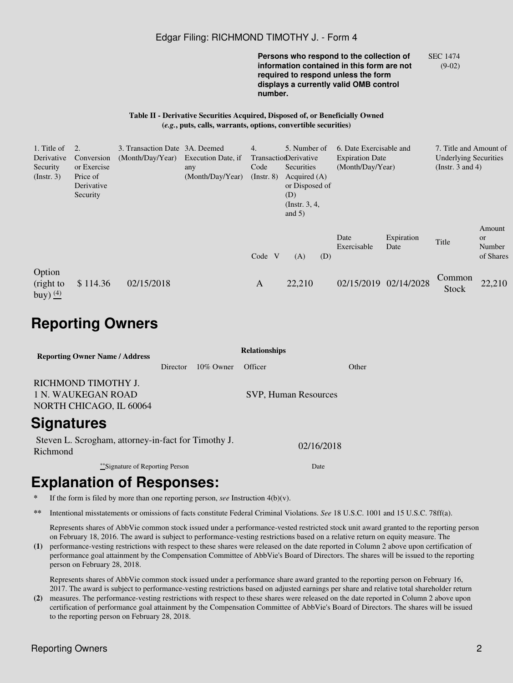### Edgar Filing: RICHMOND TIMOTHY J. - Form 4

**Persons who respond to the collection of information contained in this form are not required to respond unless the form displays a currently valid OMB control number.** SEC 1474 (9-02)

#### **Table II - Derivative Securities Acquired, Disposed of, or Beneficially Owned (***e.g.***, puts, calls, warrants, options, convertible securities)**

| 1. Title of                                 |             | 3. Transaction Date 3A. Deemed |                    | 4.              | 5. Number of          |     | 6. Date Exercisable and |                       | 7. Title and Amount of       |                                     |
|---------------------------------------------|-------------|--------------------------------|--------------------|-----------------|-----------------------|-----|-------------------------|-----------------------|------------------------------|-------------------------------------|
| Derivative                                  | Conversion  | (Month/Day/Year)               | Execution Date, if |                 | TransactionDerivative |     | <b>Expiration Date</b>  |                       | <b>Underlying Securities</b> |                                     |
| Security                                    | or Exercise |                                | any                | Code            | <b>Securities</b>     |     | (Month/Day/Year)        |                       | (Instr. $3$ and $4$ )        |                                     |
| (Insert. 3)                                 | Price of    |                                | (Month/Day/Year)   | $($ Instr. $8)$ | Acquired $(A)$        |     |                         |                       |                              |                                     |
|                                             | Derivative  |                                |                    |                 | or Disposed of        |     |                         |                       |                              |                                     |
|                                             | Security    |                                |                    |                 | (D)                   |     |                         |                       |                              |                                     |
|                                             |             |                                |                    |                 | (Instr. $3, 4,$       |     |                         |                       |                              |                                     |
|                                             |             |                                |                    |                 | and $5)$              |     |                         |                       |                              |                                     |
|                                             |             |                                |                    | Code V          | (A)                   | (D) | Date<br>Exercisable     | Expiration<br>Date    | Title                        | Amount<br>or<br>Number<br>of Shares |
| Option<br>(right to<br>buy) $\frac{(4)}{2}$ | \$114.36    | 02/15/2018                     |                    | A               | 22,210                |     |                         | 02/15/2019 02/14/2028 | Common<br><b>Stock</b>       | 22,210                              |

## **Reporting Owners**

| <b>Reporting Owner Name / Address</b>                                | <b>Relationships</b> |              |                      |       |  |  |  |  |  |  |
|----------------------------------------------------------------------|----------------------|--------------|----------------------|-------|--|--|--|--|--|--|
|                                                                      | Director             | $10\%$ Owner | <b>Officer</b>       | Other |  |  |  |  |  |  |
| RICHMOND TIMOTHY J.<br>1 N. WAUKEGAN ROAD<br>NORTH CHICAGO, IL 60064 |                      |              | SVP, Human Resources |       |  |  |  |  |  |  |
| <b>Signatures</b>                                                    |                      |              |                      |       |  |  |  |  |  |  |
| Charles I Causaham attampte in fact for Timether I                   |                      |              |                      |       |  |  |  |  |  |  |

 Steven L. Scrogham, attorney-in-fact for Timothy J. Richmond 02/16/2018 \*\*Signature of Reporting Person Date

# **Explanation of Responses:**

- **\*** If the form is filed by more than one reporting person, *see* Instruction 4(b)(v).
- **\*\*** Intentional misstatements or omissions of facts constitute Federal Criminal Violations. *See* 18 U.S.C. 1001 and 15 U.S.C. 78ff(a).

Represents shares of AbbVie common stock issued under a performance-vested restricted stock unit award granted to the reporting person on February 18, 2016. The award is subject to performance-vesting restrictions based on a relative return on equity measure. The

**(1)** performance-vesting restrictions with respect to these shares were released on the date reported in Column 2 above upon certification of performance goal attainment by the Compensation Committee of AbbVie's Board of Directors. The shares will be issued to the reporting person on February 28, 2018.

Represents shares of AbbVie common stock issued under a performance share award granted to the reporting person on February 16, 2017. The award is subject to performance-vesting restrictions based on adjusted earnings per share and relative total shareholder return

**(2)** measures. The performance-vesting restrictions with respect to these shares were released on the date reported in Column 2 above upon certification of performance goal attainment by the Compensation Committee of AbbVie's Board of Directors. The shares will be issued to the reporting person on February 28, 2018.